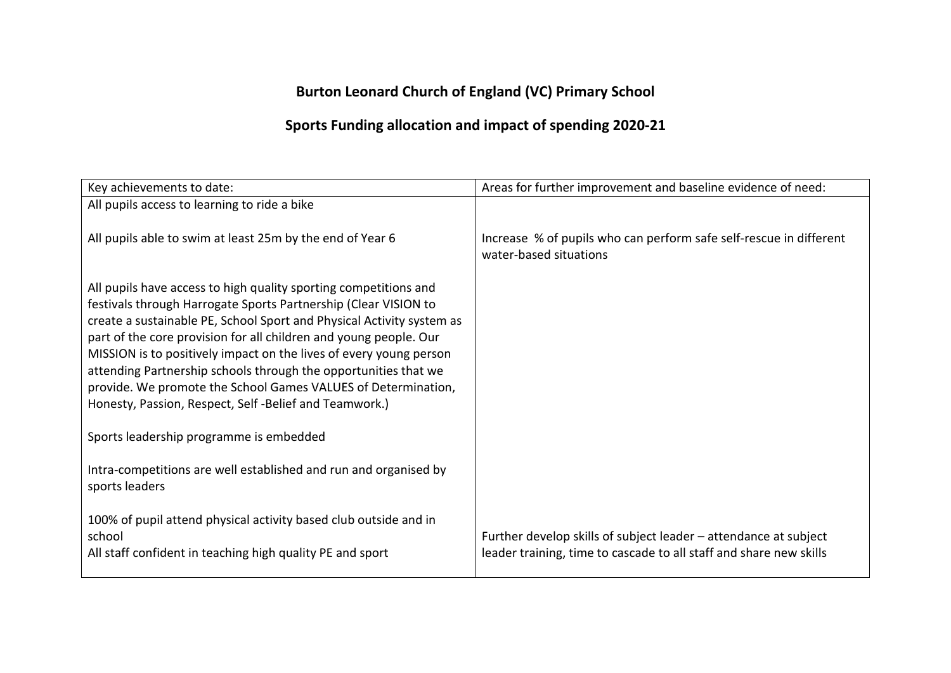## **Burton Leonard Church of England (VC) Primary School**

## **Sports Funding allocation and impact of spending 2020-21**

| Key achievements to date:                                                                                                                                                                                                                                                                                                                                                                                                                                                                                                                            | Areas for further improvement and baseline evidence of need:                                                                           |
|------------------------------------------------------------------------------------------------------------------------------------------------------------------------------------------------------------------------------------------------------------------------------------------------------------------------------------------------------------------------------------------------------------------------------------------------------------------------------------------------------------------------------------------------------|----------------------------------------------------------------------------------------------------------------------------------------|
| All pupils access to learning to ride a bike                                                                                                                                                                                                                                                                                                                                                                                                                                                                                                         |                                                                                                                                        |
| All pupils able to swim at least 25m by the end of Year 6                                                                                                                                                                                                                                                                                                                                                                                                                                                                                            | Increase % of pupils who can perform safe self-rescue in different<br>water-based situations                                           |
| All pupils have access to high quality sporting competitions and<br>festivals through Harrogate Sports Partnership (Clear VISION to<br>create a sustainable PE, School Sport and Physical Activity system as<br>part of the core provision for all children and young people. Our<br>MISSION is to positively impact on the lives of every young person<br>attending Partnership schools through the opportunities that we<br>provide. We promote the School Games VALUES of Determination,<br>Honesty, Passion, Respect, Self-Belief and Teamwork.) |                                                                                                                                        |
| Sports leadership programme is embedded                                                                                                                                                                                                                                                                                                                                                                                                                                                                                                              |                                                                                                                                        |
| Intra-competitions are well established and run and organised by<br>sports leaders                                                                                                                                                                                                                                                                                                                                                                                                                                                                   |                                                                                                                                        |
| 100% of pupil attend physical activity based club outside and in<br>school<br>All staff confident in teaching high quality PE and sport                                                                                                                                                                                                                                                                                                                                                                                                              | Further develop skills of subject leader – attendance at subject<br>leader training, time to cascade to all staff and share new skills |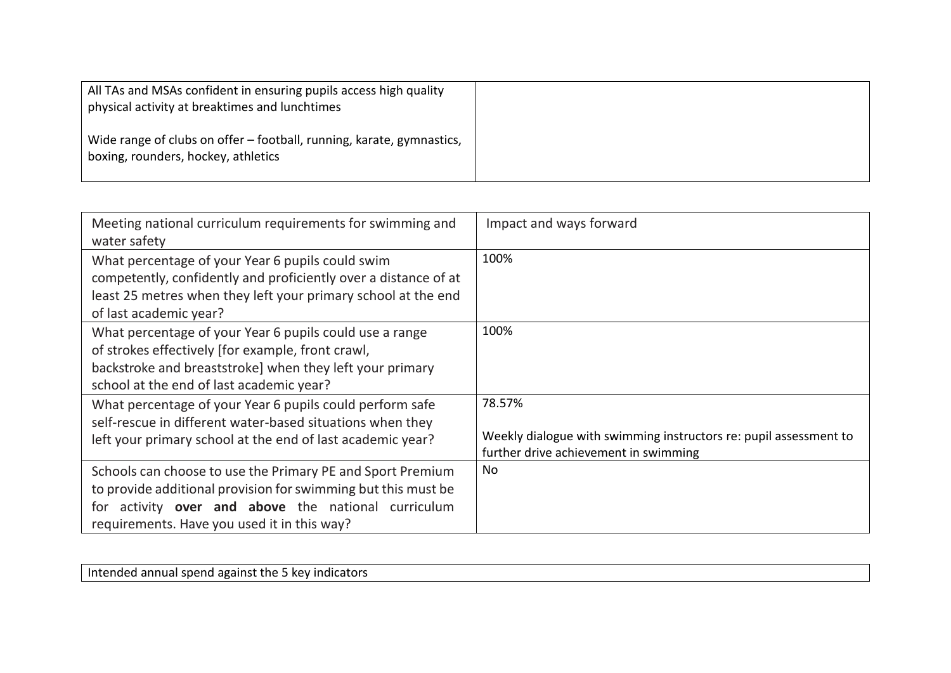| All TAs and MSAs confident in ensuring pupils access high quality<br>physical activity at breaktimes and lunchtimes |  |
|---------------------------------------------------------------------------------------------------------------------|--|
| Wide range of clubs on offer – football, running, karate, gymnastics,<br>  boxing, rounders, hockey, athletics      |  |

| Meeting national curriculum requirements for swimming and<br>water safety                                                                                                                                                         | Impact and ways forward                                                                                              |
|-----------------------------------------------------------------------------------------------------------------------------------------------------------------------------------------------------------------------------------|----------------------------------------------------------------------------------------------------------------------|
| What percentage of your Year 6 pupils could swim<br>competently, confidently and proficiently over a distance of at<br>least 25 metres when they left your primary school at the end<br>of last academic year?                    | 100%                                                                                                                 |
| What percentage of your Year 6 pupils could use a range<br>of strokes effectively [for example, front crawl,<br>backstroke and breaststroke] when they left your primary<br>school at the end of last academic year?              | 100%                                                                                                                 |
| What percentage of your Year 6 pupils could perform safe<br>self-rescue in different water-based situations when they<br>left your primary school at the end of last academic year?                                               | 78.57%<br>Weekly dialogue with swimming instructors re: pupil assessment to<br>further drive achievement in swimming |
| Schools can choose to use the Primary PE and Sport Premium<br>to provide additional provision for swimming but this must be<br>for activity over and above the national curriculum<br>requirements. Have you used it in this way? | No                                                                                                                   |

Intended annual spend against the 5 key indicators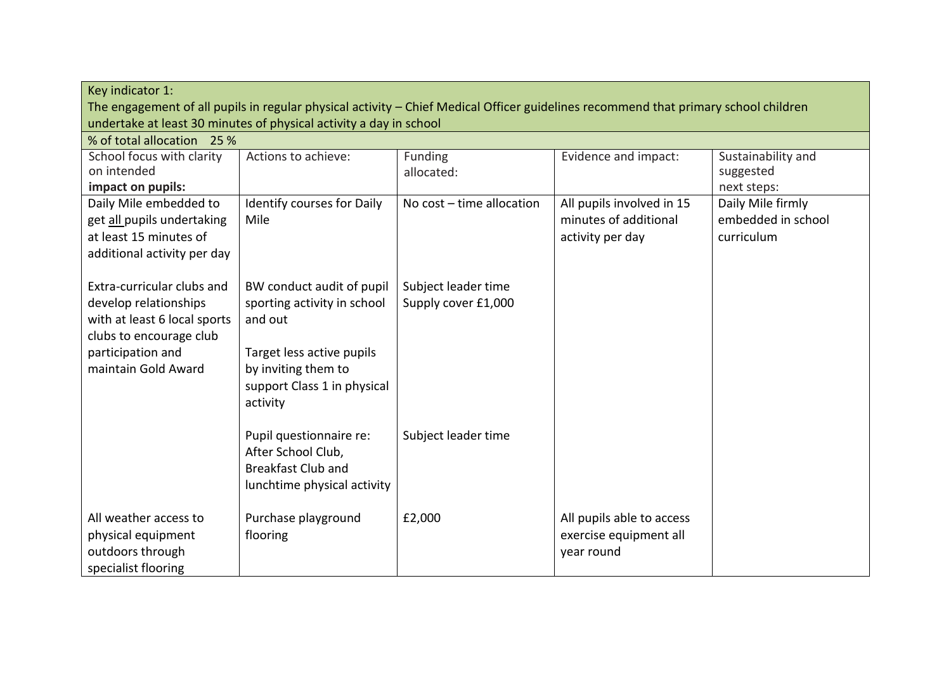| Key indicator 1:                                                                                                                                           |                                                                                                                                                                    |                                            |                                                                        |                                                       |
|------------------------------------------------------------------------------------------------------------------------------------------------------------|--------------------------------------------------------------------------------------------------------------------------------------------------------------------|--------------------------------------------|------------------------------------------------------------------------|-------------------------------------------------------|
| The engagement of all pupils in regular physical activity - Chief Medical Officer guidelines recommend that primary school children                        |                                                                                                                                                                    |                                            |                                                                        |                                                       |
| undertake at least 30 minutes of physical activity a day in school                                                                                         |                                                                                                                                                                    |                                            |                                                                        |                                                       |
| % of total allocation 25 %                                                                                                                                 |                                                                                                                                                                    |                                            |                                                                        |                                                       |
| School focus with clarity<br>on intended                                                                                                                   | Actions to achieve:                                                                                                                                                | Funding<br>allocated:                      | Evidence and impact:                                                   | Sustainability and<br>suggested                       |
| impact on pupils:                                                                                                                                          |                                                                                                                                                                    |                                            |                                                                        | next steps:                                           |
| Daily Mile embedded to<br>get all pupils undertaking<br>at least 15 minutes of<br>additional activity per day                                              | Identify courses for Daily<br>Mile                                                                                                                                 | No cost - time allocation                  | All pupils involved in 15<br>minutes of additional<br>activity per day | Daily Mile firmly<br>embedded in school<br>curriculum |
| Extra-curricular clubs and<br>develop relationships<br>with at least 6 local sports<br>clubs to encourage club<br>participation and<br>maintain Gold Award | BW conduct audit of pupil<br>sporting activity in school<br>and out<br>Target less active pupils<br>by inviting them to<br>support Class 1 in physical<br>activity | Subject leader time<br>Supply cover £1,000 |                                                                        |                                                       |
|                                                                                                                                                            | Pupil questionnaire re:<br>After School Club,<br><b>Breakfast Club and</b><br>lunchtime physical activity                                                          | Subject leader time                        |                                                                        |                                                       |
| All weather access to<br>physical equipment<br>outdoors through<br>specialist flooring                                                                     | Purchase playground<br>flooring                                                                                                                                    | £2,000                                     | All pupils able to access<br>exercise equipment all<br>year round      |                                                       |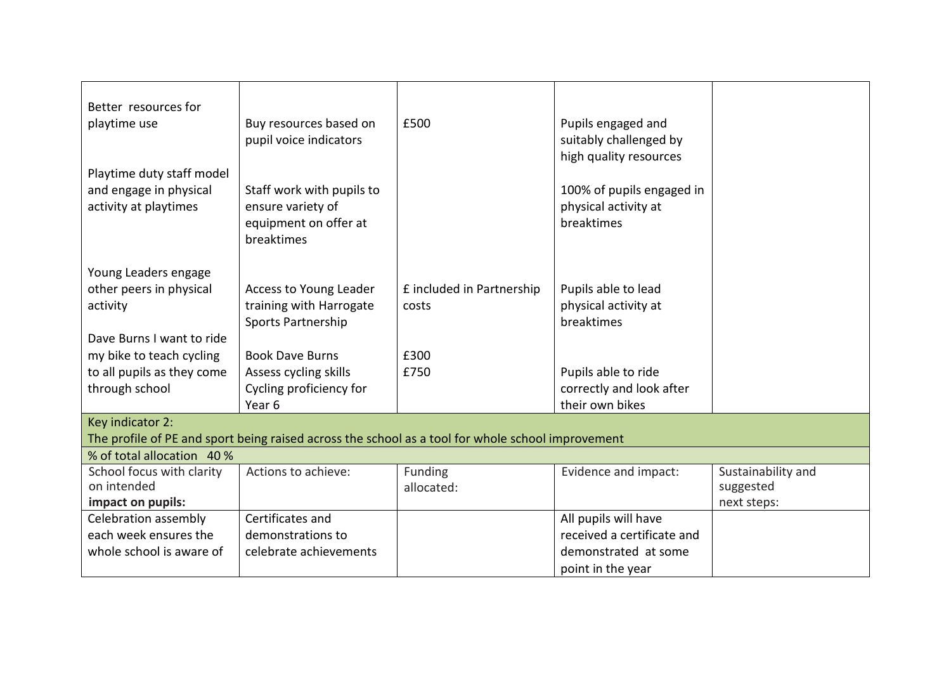| Better resources for<br>playtime use<br>Playtime duty staff model<br>and engage in physical<br>activity at playtimes | Buy resources based on<br>pupil voice indicators<br>Staff work with pupils to<br>ensure variety of<br>equipment on offer at | £500                               | Pupils engaged and<br>suitably challenged by<br>high quality resources<br>100% of pupils engaged in<br>physical activity at<br>breaktimes |                    |
|----------------------------------------------------------------------------------------------------------------------|-----------------------------------------------------------------------------------------------------------------------------|------------------------------------|-------------------------------------------------------------------------------------------------------------------------------------------|--------------------|
|                                                                                                                      | breaktimes                                                                                                                  |                                    |                                                                                                                                           |                    |
| Young Leaders engage<br>other peers in physical<br>activity                                                          | Access to Young Leader<br>training with Harrogate<br>Sports Partnership                                                     | £ included in Partnership<br>costs | Pupils able to lead<br>physical activity at<br>breaktimes                                                                                 |                    |
| Dave Burns I want to ride                                                                                            |                                                                                                                             |                                    |                                                                                                                                           |                    |
| my bike to teach cycling                                                                                             | <b>Book Dave Burns</b>                                                                                                      | £300                               |                                                                                                                                           |                    |
| to all pupils as they come                                                                                           | Assess cycling skills                                                                                                       | £750                               | Pupils able to ride                                                                                                                       |                    |
| through school                                                                                                       | Cycling proficiency for                                                                                                     |                                    | correctly and look after                                                                                                                  |                    |
|                                                                                                                      | Year 6                                                                                                                      |                                    | their own bikes                                                                                                                           |                    |
| Key indicator 2:                                                                                                     |                                                                                                                             |                                    |                                                                                                                                           |                    |
| The profile of PE and sport being raised across the school as a tool for whole school improvement                    |                                                                                                                             |                                    |                                                                                                                                           |                    |
| % of total allocation 40 %                                                                                           |                                                                                                                             |                                    |                                                                                                                                           |                    |
| School focus with clarity                                                                                            | Actions to achieve:                                                                                                         | Funding                            | Evidence and impact:                                                                                                                      | Sustainability and |
| on intended                                                                                                          |                                                                                                                             | allocated:                         |                                                                                                                                           | suggested          |
| impact on pupils:                                                                                                    |                                                                                                                             |                                    |                                                                                                                                           | next steps:        |
| Celebration assembly                                                                                                 | Certificates and                                                                                                            |                                    | All pupils will have                                                                                                                      |                    |
| each week ensures the                                                                                                | demonstrations to                                                                                                           |                                    | received a certificate and                                                                                                                |                    |
| whole school is aware of                                                                                             | celebrate achievements                                                                                                      |                                    | demonstrated at some                                                                                                                      |                    |
|                                                                                                                      |                                                                                                                             |                                    | point in the year                                                                                                                         |                    |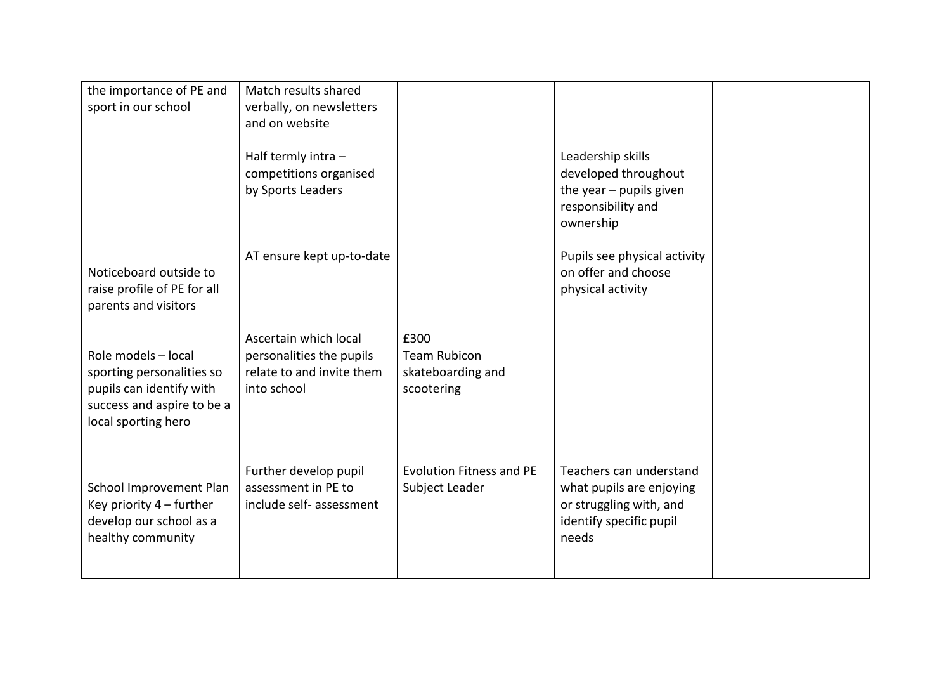| the importance of PE and<br>sport in our school                                                                                   | Match results shared<br>verbally, on newsletters<br>and on website                            |                                                                |                                                                                                                    |  |
|-----------------------------------------------------------------------------------------------------------------------------------|-----------------------------------------------------------------------------------------------|----------------------------------------------------------------|--------------------------------------------------------------------------------------------------------------------|--|
|                                                                                                                                   | Half termly intra -<br>competitions organised<br>by Sports Leaders                            |                                                                | Leadership skills<br>developed throughout<br>the year $-$ pupils given<br>responsibility and<br>ownership          |  |
| Noticeboard outside to<br>raise profile of PE for all<br>parents and visitors                                                     | AT ensure kept up-to-date                                                                     |                                                                | Pupils see physical activity<br>on offer and choose<br>physical activity                                           |  |
| Role models - local<br>sporting personalities so<br>pupils can identify with<br>success and aspire to be a<br>local sporting hero | Ascertain which local<br>personalities the pupils<br>relate to and invite them<br>into school | £300<br><b>Team Rubicon</b><br>skateboarding and<br>scootering |                                                                                                                    |  |
| School Improvement Plan<br>Key priority 4 - further<br>develop our school as a<br>healthy community                               | Further develop pupil<br>assessment in PE to<br>include self- assessment                      | <b>Evolution Fitness and PE</b><br>Subject Leader              | Teachers can understand<br>what pupils are enjoying<br>or struggling with, and<br>identify specific pupil<br>needs |  |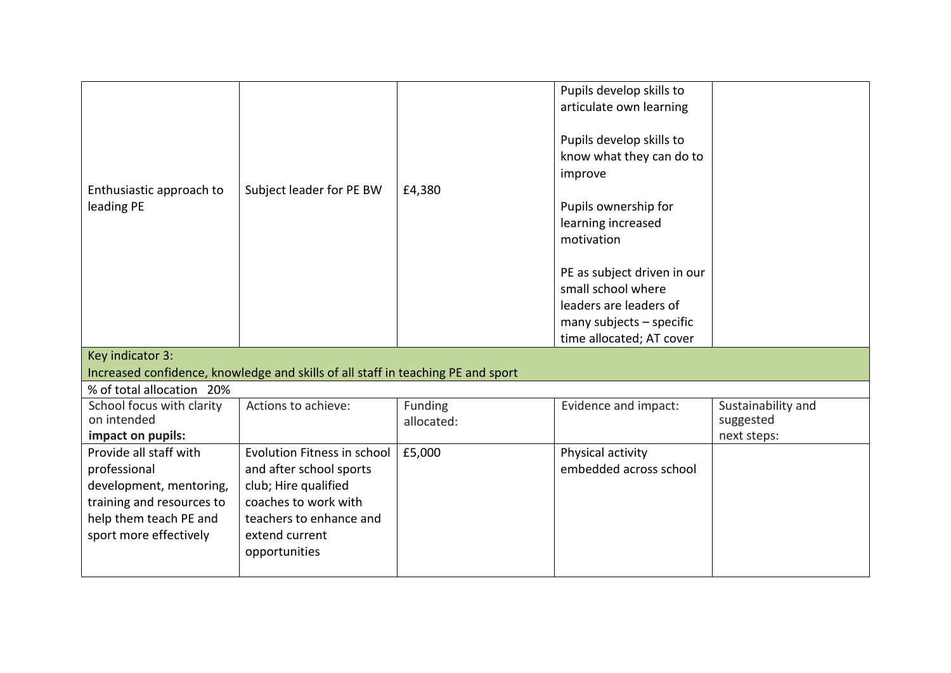| Enthusiastic approach to<br>leading PE                                                                                                             | Subject leader for PE BW                                                                                                                                             | £4,380                | Pupils develop skills to<br>articulate own learning<br>Pupils develop skills to<br>know what they can do to<br>improve<br>Pupils ownership for<br>learning increased<br>motivation<br>PE as subject driven in our<br>small school where<br>leaders are leaders of<br>many subjects - specific |                                                |
|----------------------------------------------------------------------------------------------------------------------------------------------------|----------------------------------------------------------------------------------------------------------------------------------------------------------------------|-----------------------|-----------------------------------------------------------------------------------------------------------------------------------------------------------------------------------------------------------------------------------------------------------------------------------------------|------------------------------------------------|
|                                                                                                                                                    |                                                                                                                                                                      |                       | time allocated; AT cover                                                                                                                                                                                                                                                                      |                                                |
| Key indicator 3:                                                                                                                                   | Increased confidence, knowledge and skills of all staff in teaching PE and sport                                                                                     |                       |                                                                                                                                                                                                                                                                                               |                                                |
| % of total allocation 20%                                                                                                                          |                                                                                                                                                                      |                       |                                                                                                                                                                                                                                                                                               |                                                |
| School focus with clarity<br>on intended<br>impact on pupils:                                                                                      | Actions to achieve:                                                                                                                                                  | Funding<br>allocated: | Evidence and impact:                                                                                                                                                                                                                                                                          | Sustainability and<br>suggested<br>next steps: |
| Provide all staff with<br>professional<br>development, mentoring,<br>training and resources to<br>help them teach PE and<br>sport more effectively | Evolution Fitness in school<br>and after school sports<br>club; Hire qualified<br>coaches to work with<br>teachers to enhance and<br>extend current<br>opportunities | £5,000                | Physical activity<br>embedded across school                                                                                                                                                                                                                                                   |                                                |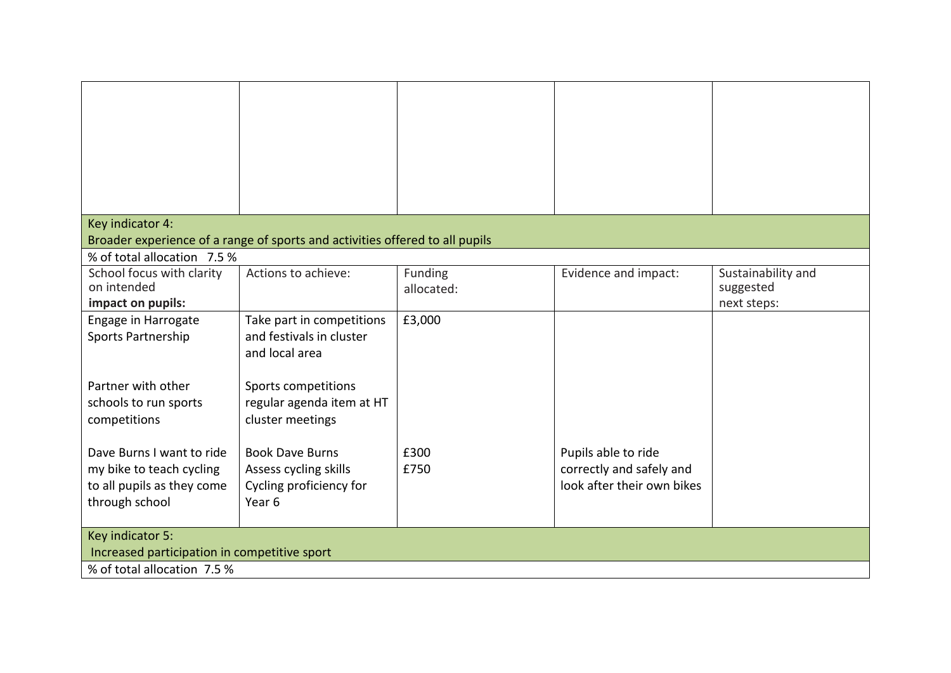| Key indicator 4:                                                                                      |                                                                                                 |              |                                                                               |                          |
|-------------------------------------------------------------------------------------------------------|-------------------------------------------------------------------------------------------------|--------------|-------------------------------------------------------------------------------|--------------------------|
|                                                                                                       | Broader experience of a range of sports and activities offered to all pupils                    |              |                                                                               |                          |
| % of total allocation 7.5 %                                                                           |                                                                                                 |              |                                                                               |                          |
| School focus with clarity<br>on intended                                                              | Actions to achieve:                                                                             | Funding      | Evidence and impact:                                                          | Sustainability and       |
| impact on pupils:                                                                                     |                                                                                                 | allocated:   |                                                                               | suggested<br>next steps: |
| Engage in Harrogate<br>Sports Partnership                                                             | Take part in competitions<br>and festivals in cluster<br>and local area                         | £3,000       |                                                                               |                          |
| Partner with other<br>schools to run sports<br>competitions                                           | Sports competitions<br>regular agenda item at HT<br>cluster meetings                            |              |                                                                               |                          |
| Dave Burns I want to ride<br>my bike to teach cycling<br>to all pupils as they come<br>through school | <b>Book Dave Burns</b><br>Assess cycling skills<br>Cycling proficiency for<br>Year <sub>6</sub> | £300<br>£750 | Pupils able to ride<br>correctly and safely and<br>look after their own bikes |                          |
| Key indicator 5:<br>Increased participation in competitive sport                                      |                                                                                                 |              |                                                                               |                          |
| % of total allocation 7.5 %                                                                           |                                                                                                 |              |                                                                               |                          |